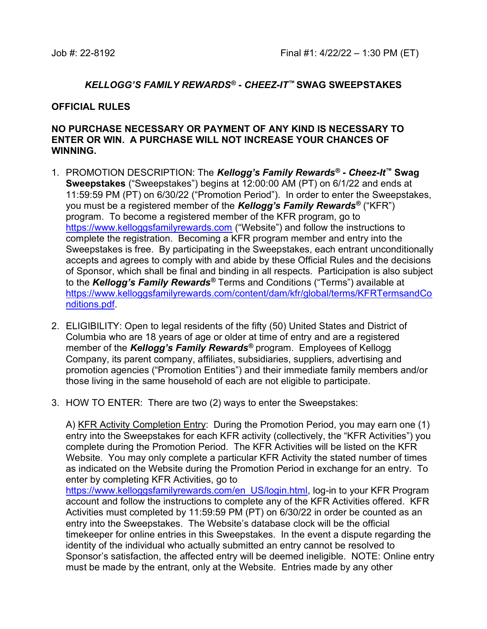## KELLOGG'S FAMILY REWARDS® - CHEEZ-IT™ SWAG SWEEPSTAKES

## OFFICIAL RULES

## NO PURCHASE NECESSARY OR PAYMENT OF ANY KIND IS NECESSARY TO ENTER OR WIN. A PURCHASE WILL NOT INCREASE YOUR CHANCES OF WINNING.

- 1. PROMOTION DESCRIPTION: The Kellogg's Family Rewards<sup>®</sup> Cheez-It<sup>™</sup> Swag Sweepstakes ("Sweepstakes") begins at 12:00:00 AM (PT) on 6/1/22 and ends at 11:59:59 PM (PT) on 6/30/22 ("Promotion Period"). In order to enter the Sweepstakes, you must be a registered member of the Kellogg's Family Rewards<sup>®</sup> ("KFR") program. To become a registered member of the KFR program, go to https://www.kelloggsfamilyrewards.com ("Website") and follow the instructions to complete the registration. Becoming a KFR program member and entry into the Sweepstakes is free. By participating in the Sweepstakes, each entrant unconditionally accepts and agrees to comply with and abide by these Official Rules and the decisions of Sponsor, which shall be final and binding in all respects. Participation is also subject to the Kellogg's Family Rewards<sup>®</sup> Terms and Conditions ("Terms") available at https://www.kelloggsfamilyrewards.com/content/dam/kfr/global/terms/KFRTermsandCo nditions.pdf.
- 2. ELIGIBILITY: Open to legal residents of the fifty (50) United States and District of Columbia who are 18 years of age or older at time of entry and are a registered member of the Kellogg's Family Rewards<sup>®</sup> program. Employees of Kellogg Company, its parent company, affiliates, subsidiaries, suppliers, advertising and promotion agencies ("Promotion Entities") and their immediate family members and/or those living in the same household of each are not eligible to participate.
- 3. HOW TO ENTER: There are two (2) ways to enter the Sweepstakes:

A) KFR Activity Completion Entry: During the Promotion Period, you may earn one (1) entry into the Sweepstakes for each KFR activity (collectively, the "KFR Activities") you complete during the Promotion Period. The KFR Activities will be listed on the KFR Website. You may only complete a particular KFR Activity the stated number of times as indicated on the Website during the Promotion Period in exchange for an entry. To enter by completing KFR Activities, go to

https://www.kelloggsfamilyrewards.com/en\_US/login.html, log-in to your KFR Program account and follow the instructions to complete any of the KFR Activities offered. KFR Activities must completed by 11:59:59 PM (PT) on 6/30/22 in order be counted as an entry into the Sweepstakes. The Website's database clock will be the official timekeeper for online entries in this Sweepstakes. In the event a dispute regarding the identity of the individual who actually submitted an entry cannot be resolved to Sponsor's satisfaction, the affected entry will be deemed ineligible. NOTE: Online entry must be made by the entrant, only at the Website. Entries made by any other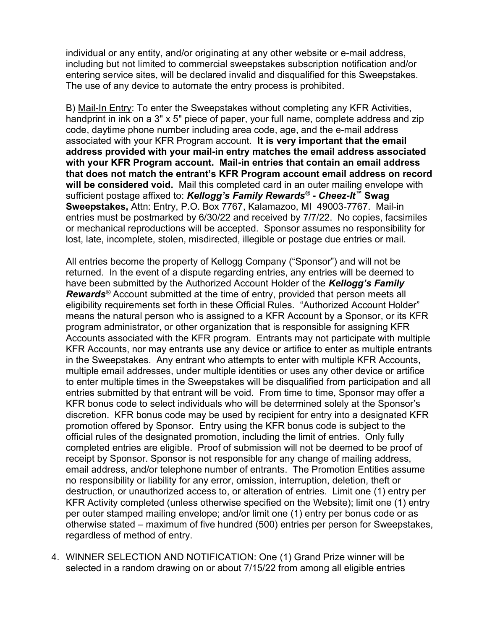individual or any entity, and/or originating at any other website or e-mail address, including but not limited to commercial sweepstakes subscription notification and/or entering service sites, will be declared invalid and disqualified for this Sweepstakes. The use of any device to automate the entry process is prohibited.

B) Mail-In Entry: To enter the Sweepstakes without completing any KFR Activities, handprint in ink on a 3" x 5" piece of paper, your full name, complete address and zip code, daytime phone number including area code, age, and the e-mail address associated with your KFR Program account. It is very important that the email address provided with your mail-in entry matches the email address associated with your KFR Program account. Mail-in entries that contain an email address that does not match the entrant's KFR Program account email address on record will be considered void. Mail this completed card in an outer mailing envelope with sufficient postage affixed to: Kellogg's Family Rewards® - Cheez-It™ Swag Sweepstakes, Attn: Entry, P.O. Box 7767, Kalamazoo, MI 49003-7767. Mail-in entries must be postmarked by 6/30/22 and received by 7/7/22. No copies, facsimiles or mechanical reproductions will be accepted. Sponsor assumes no responsibility for lost, late, incomplete, stolen, misdirected, illegible or postage due entries or mail.

All entries become the property of Kellogg Company ("Sponsor") and will not be returned. In the event of a dispute regarding entries, any entries will be deemed to have been submitted by the Authorized Account Holder of the Kellogg's Family Rewards<sup>®</sup> Account submitted at the time of entry, provided that person meets all eligibility requirements set forth in these Official Rules. "Authorized Account Holder" means the natural person who is assigned to a KFR Account by a Sponsor, or its KFR program administrator, or other organization that is responsible for assigning KFR Accounts associated with the KFR program. Entrants may not participate with multiple KFR Accounts, nor may entrants use any device or artifice to enter as multiple entrants in the Sweepstakes. Any entrant who attempts to enter with multiple KFR Accounts, multiple email addresses, under multiple identities or uses any other device or artifice to enter multiple times in the Sweepstakes will be disqualified from participation and all entries submitted by that entrant will be void. From time to time, Sponsor may offer a KFR bonus code to select individuals who will be determined solely at the Sponsor's discretion. KFR bonus code may be used by recipient for entry into a designated KFR promotion offered by Sponsor. Entry using the KFR bonus code is subject to the official rules of the designated promotion, including the limit of entries. Only fully completed entries are eligible. Proof of submission will not be deemed to be proof of receipt by Sponsor. Sponsor is not responsible for any change of mailing address, email address, and/or telephone number of entrants. The Promotion Entities assume no responsibility or liability for any error, omission, interruption, deletion, theft or destruction, or unauthorized access to, or alteration of entries. Limit one (1) entry per KFR Activity completed (unless otherwise specified on the Website); limit one (1) entry per outer stamped mailing envelope; and/or limit one (1) entry per bonus code or as otherwise stated – maximum of five hundred (500) entries per person for Sweepstakes, regardless of method of entry.

4. WINNER SELECTION AND NOTIFICATION: One (1) Grand Prize winner will be selected in a random drawing on or about 7/15/22 from among all eligible entries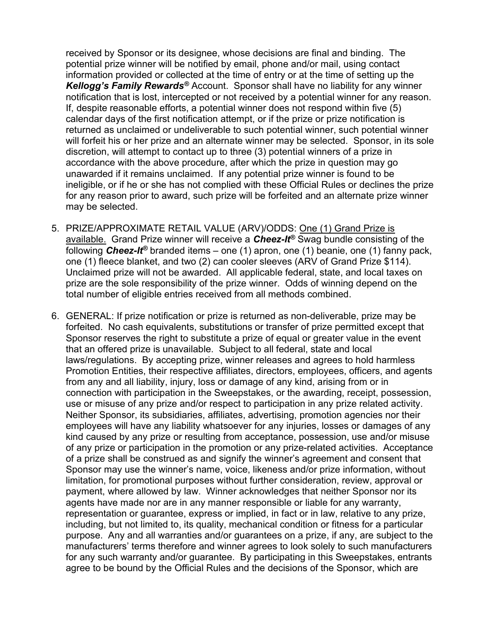received by Sponsor or its designee, whose decisions are final and binding. The potential prize winner will be notified by email, phone and/or mail, using contact information provided or collected at the time of entry or at the time of setting up the Kellogg's Family Rewards<sup>®</sup> Account. Sponsor shall have no liability for any winner notification that is lost, intercepted or not received by a potential winner for any reason. If, despite reasonable efforts, a potential winner does not respond within five (5) calendar days of the first notification attempt, or if the prize or prize notification is returned as unclaimed or undeliverable to such potential winner, such potential winner will forfeit his or her prize and an alternate winner may be selected. Sponsor, in its sole discretion, will attempt to contact up to three (3) potential winners of a prize in accordance with the above procedure, after which the prize in question may go unawarded if it remains unclaimed. If any potential prize winner is found to be ineligible, or if he or she has not complied with these Official Rules or declines the prize for any reason prior to award, such prize will be forfeited and an alternate prize winner may be selected.

- 5. PRIZE/APPROXIMATE RETAIL VALUE (ARV)/ODDS: One (1) Grand Prize is available. Grand Prize winner will receive a  $\mathbf{Check}$  Swag bundle consisting of the following **Cheez-It<sup>®</sup>** branded items – one (1) apron, one (1) beanie, one (1) fanny pack, one (1) fleece blanket, and two (2) can cooler sleeves (ARV of Grand Prize \$114). Unclaimed prize will not be awarded. All applicable federal, state, and local taxes on prize are the sole responsibility of the prize winner. Odds of winning depend on the total number of eligible entries received from all methods combined.
- 6. GENERAL: If prize notification or prize is returned as non-deliverable, prize may be forfeited. No cash equivalents, substitutions or transfer of prize permitted except that Sponsor reserves the right to substitute a prize of equal or greater value in the event that an offered prize is unavailable. Subject to all federal, state and local laws/regulations. By accepting prize, winner releases and agrees to hold harmless Promotion Entities, their respective affiliates, directors, employees, officers, and agents from any and all liability, injury, loss or damage of any kind, arising from or in connection with participation in the Sweepstakes, or the awarding, receipt, possession, use or misuse of any prize and/or respect to participation in any prize related activity. Neither Sponsor, its subsidiaries, affiliates, advertising, promotion agencies nor their employees will have any liability whatsoever for any injuries, losses or damages of any kind caused by any prize or resulting from acceptance, possession, use and/or misuse of any prize or participation in the promotion or any prize-related activities. Acceptance of a prize shall be construed as and signify the winner's agreement and consent that Sponsor may use the winner's name, voice, likeness and/or prize information, without limitation, for promotional purposes without further consideration, review, approval or payment, where allowed by law. Winner acknowledges that neither Sponsor nor its agents have made nor are in any manner responsible or liable for any warranty, representation or guarantee, express or implied, in fact or in law, relative to any prize, including, but not limited to, its quality, mechanical condition or fitness for a particular purpose. Any and all warranties and/or guarantees on a prize, if any, are subject to the manufacturers' terms therefore and winner agrees to look solely to such manufacturers for any such warranty and/or guarantee. By participating in this Sweepstakes, entrants agree to be bound by the Official Rules and the decisions of the Sponsor, which are